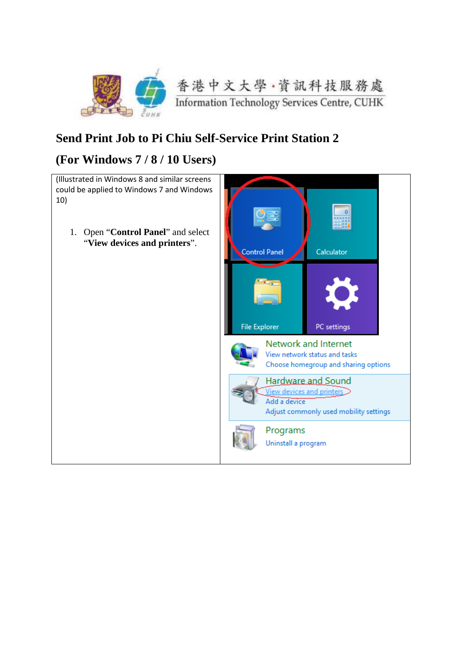

## **Send Print Job to Pi Chiu Self-Service Print Station 2**

## **(For Windows 7 / 8 / 10 Users)**

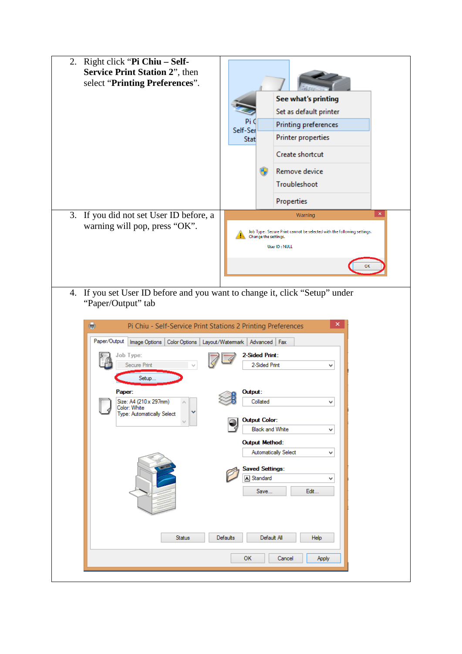|                                                                                                   | 2. Right click "Pi Chiu - Self-<br><b>Service Print Station 2"</b> , then<br>select "Printing Preferences". |                                                                                                                 |    |                                               |  |
|---------------------------------------------------------------------------------------------------|-------------------------------------------------------------------------------------------------------------|-----------------------------------------------------------------------------------------------------------------|----|-----------------------------------------------|--|
|                                                                                                   |                                                                                                             |                                                                                                                 |    | See what's printing<br>Set as default printer |  |
|                                                                                                   |                                                                                                             |                                                                                                                 |    | Printing preferences                          |  |
|                                                                                                   |                                                                                                             | Self-Ser<br>Stat                                                                                                |    | Printer properties                            |  |
|                                                                                                   |                                                                                                             |                                                                                                                 |    | Create shortcut                               |  |
|                                                                                                   |                                                                                                             |                                                                                                                 | HĐ | Remove device                                 |  |
|                                                                                                   |                                                                                                             |                                                                                                                 |    | Troubleshoot                                  |  |
|                                                                                                   |                                                                                                             |                                                                                                                 |    | Properties                                    |  |
| 3.<br>If you did not set User ID before, a                                                        |                                                                                                             | $\pmb{\times}$<br>Warning                                                                                       |    |                                               |  |
|                                                                                                   | warning will pop, press "OK".                                                                               | Job Type: Secure Print cannot be selected with the following settings.<br>Change the settings.<br>User ID: NULL |    |                                               |  |
|                                                                                                   |                                                                                                             |                                                                                                                 |    |                                               |  |
| 4. If you set User ID before and you want to change it, click "Setup" under<br>"Paper/Output" tab |                                                                                                             |                                                                                                                 |    |                                               |  |
| ×<br>÷<br>Pi Chiu - Self-Service Print Stations 2 Printing Preferences                            |                                                                                                             |                                                                                                                 |    |                                               |  |

| 靈<br>Paper/Output                                                              | Pi Chiu - Self-Service Print Stations 2 Printing Preferences<br>ᄎ<br>Image Options   Color Options   Layout/Watermark   Advanced   Fax |
|--------------------------------------------------------------------------------|----------------------------------------------------------------------------------------------------------------------------------------|
| Job Type:<br>Secure Print<br>Setup                                             | 2-Sided Print:<br>2-Sided Print<br>٧                                                                                                   |
| Paper:<br>Size: A4 (210 x 297mm)<br>Color: White<br>Type: Automatically Select | Output:<br>Collated<br>v                                                                                                               |
|                                                                                | <b>Output Color:</b><br><b>Black and White</b><br>v                                                                                    |
|                                                                                | <b>Output Method:</b><br><b>Automatically Select</b><br>٧                                                                              |
|                                                                                | <b>Saved Settings:</b><br>A Standard<br>v<br>Edit<br>Save                                                                              |
|                                                                                |                                                                                                                                        |
| <b>Status</b>                                                                  | Default All<br><b>Defaults</b><br><b>Help</b>                                                                                          |
|                                                                                | <b>OK</b><br>Cancel<br>Apply                                                                                                           |